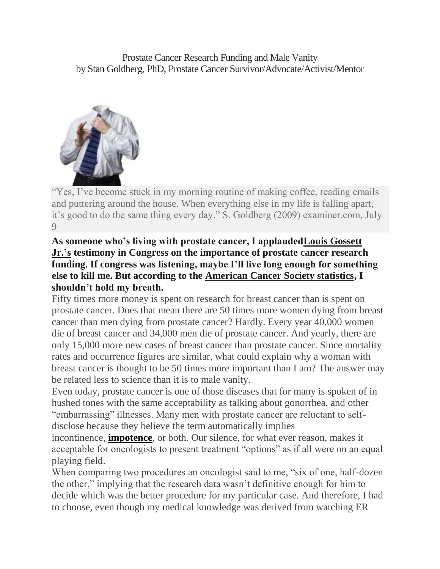Prostate Cancer Research Funding and Male Vanity by Stan Goldberg, PhD, Prostate Cancer Survivor/Advocate/Activist/Mentor



"Yes, I've become stuck in my morning routine of making coffee, reading emails and puttering around the house. When everything else in my life is falling apart, it's good to do the same thing every day." S. Goldberg (2009) examiner.com, July **9** 

### **As someone who's living with prostate cancer, I applaude[dLouis Gossett](http://blogs.chron.com/celebritybuzz/2010/02/gossett_being_treated_for_pros_1.html)  [Jr.'s](http://blogs.chron.com/celebritybuzz/2010/02/gossett_being_treated_for_pros_1.html) testimony in Congress on the importance of prostate cancer research funding. If congress was listening, maybe I'll live long enough for something else to kill me. But according to the [American Cancer Society statistics,](http://www.cancer.org/docroot/CRI/content/CRI_2_4_1X_What_are_the_key_statistics_for_prostate_cancer_36.asp) I shouldn't hold my breath.**

Fifty times more money is spent on research for breast cancer than is spent on prostate cancer. Does that mean there are 50 times more women dying from breast cancer than men dying from prostate cancer? Hardly. Every year 40,000 women die of breast cancer and 34,000 men die of prostate cancer. And yearly, there are only 15,000 more new cases of breast cancer than prostate cancer. Since mortality rates and occurrence figures are similar, what could explain why a woman with breast cancer is thought to be 50 times more important than I am? The answer may be related less to science than it is to male vanity.

Even today, prostate cancer is one of those diseases that for many is spoken of in hushed tones with the same acceptability as talking about gonorrhea, and other "embarrassing" illnesses. Many men with prostate cancer are reluctant to selfdisclose because they believe the term automatically implies

incontinence, **[impotence](http://stangoldbergwriter.com/about/prostate-cancer-research-funding-and-male-vanity/)**, or both. Our silence, for what ever reason, makes it acceptable for oncologists to present treatment "options" as if all were on an equal playing field.

When comparing two procedures an oncologist said to me, "six of one, half-dozen the other," implying that the research data wasn't definitive enough for him to decide which was the better procedure for my particular case. And therefore, I had to choose, even though my medical knowledge was derived from watching ER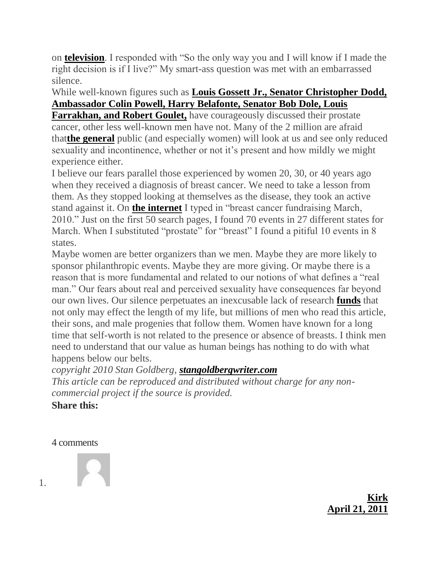on **[television](http://stangoldbergwriter.com/about/prostate-cancer-research-funding-and-male-vanity/)**. I responded with "So the only way you and I will know if I made the right decision is if I live?" My smart-ass question was met with an embarrassed silence.

# While well-known figures such as **[Louis Gossett Jr., Senator Christopher Dodd,](http://www.healthdiaries.com/famous-prostate.htm)  [Ambassador Colin Powell, Harry Belafonte, Senator Bob Dole, Louis](http://www.healthdiaries.com/famous-prostate.htm)**

**[Farrakhan, and Robert Goulet,](http://www.healthdiaries.com/famous-prostate.htm)** have courageously discussed their prostate cancer, other less well-known men have not. Many of the 2 million are afraid that**[the general](http://stangoldbergwriter.com/about/prostate-cancer-research-funding-and-male-vanity/)** public (and especially women) will look at us and see only reduced sexuality and incontinence, whether or not it's present and how mildly we might experience either.

I believe our fears parallel those experienced by women 20, 30, or 40 years ago when they received a diagnosis of breast cancer. We need to take a lesson from them. As they stopped looking at themselves as the disease, they took an active stand against it. On **[the internet](http://stangoldbergwriter.com/about/prostate-cancer-research-funding-and-male-vanity/)** I typed in "breast cancer fundraising March, 2010." Just on the first 50 search pages, I found 70 events in 27 different states for March. When I substituted "prostate" for "breast" I found a pitiful 10 events in 8 states.

Maybe women are better organizers than we men. Maybe they are more likely to sponsor philanthropic events. Maybe they are more giving. Or maybe there is a reason that is more fundamental and related to our notions of what defines a "real man." Our fears about real and perceived sexuality have consequences far beyond our own lives. Our silence perpetuates an inexcusable lack of research **[funds](http://stangoldbergwriter.com/about/prostate-cancer-research-funding-and-male-vanity/)** that not only may effect the length of my life, but millions of men who read this article, their sons, and male progenies that follow them. Women have known for a long time that self-worth is not related to the presence or absence of breasts. I think men need to understand that our value as human beings has nothing to do with what happens below our belts.

*copyright 2010 Stan Goldberg, [stangoldbergwriter.com](http://stangoldbergwriter.com/)*

*This article can be reproduced and distributed without charge for any noncommercial project if the source is provided.*

**Share this:**

4 comments

1.



**[Kirk](http://stangoldbergwriter.com/prostate-cancer-research-funding-and-male-vanity/) [April 21, 2011](http://stangoldbergwriter.com/about/prostate-cancer-research-funding-and-male-vanity/#comment-1860)**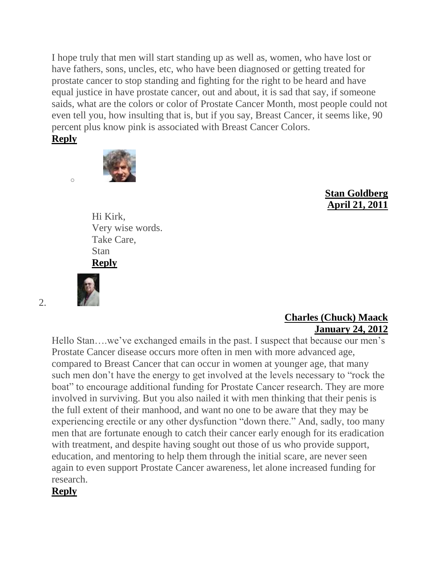I hope truly that men will start standing up as well as, women, who have lost or have fathers, sons, uncles, etc, who have been diagnosed or getting treated for prostate cancer to stop standing and fighting for the right to be heard and have equal justice in have prostate cancer, out and about, it is sad that say, if someone saids, what are the colors or color of Prostate Cancer Month, most people could not even tell you, how insulting that is, but if you say, Breast Cancer, it seems like, 90 percent plus know pink is associated with Breast Cancer Colors.

#### **[Reply](http://stangoldbergwriter.com/about/prostate-cancer-research-funding-and-male-vanity/?replytocom=1860#respond)**

o



## **[Stan Goldberg](http://www.stangoldbergwriter.com/) [April 21, 2011](http://stangoldbergwriter.com/about/prostate-cancer-research-funding-and-male-vanity/#comment-1861)**

Hi Kirk, Very wise words. Take Care, Stan **[Reply](http://stangoldbergwriter.com/about/prostate-cancer-research-funding-and-male-vanity/?replytocom=1861#respond)**



2.

#### **[Charles \(Chuck\) Maack](http://www.theprostateadvocate.com/) [January 24, 2012](http://stangoldbergwriter.com/about/prostate-cancer-research-funding-and-male-vanity/#comment-4638)**

Hello Stan….we've exchanged emails in the past. I suspect that because our men's Prostate Cancer disease occurs more often in men with more advanced age, compared to Breast Cancer that can occur in women at younger age, that many such men don't have the energy to get involved at the levels necessary to "rock the boat" to encourage additional funding for Prostate Cancer research. They are more involved in surviving. But you also nailed it with men thinking that their penis is the full extent of their manhood, and want no one to be aware that they may be experiencing erectile or any other dysfunction "down there." And, sadly, too many men that are fortunate enough to catch their cancer early enough for its eradication with treatment, and despite having sought out those of us who provide support, education, and mentoring to help them through the initial scare, are never seen again to even support Prostate Cancer awareness, let alone increased funding for research.

# **[Reply](http://stangoldbergwriter.com/about/prostate-cancer-research-funding-and-male-vanity/?replytocom=4638#respond)**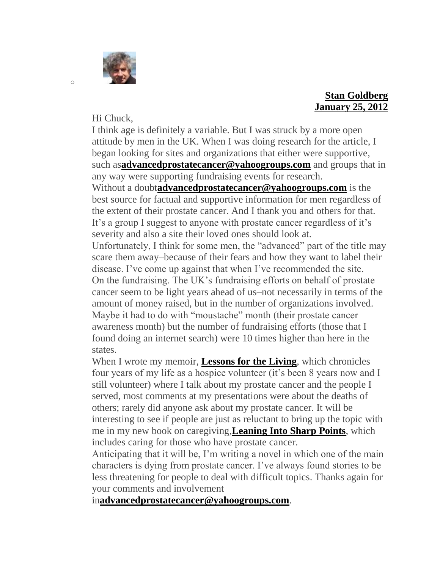

### **[Stan Goldberg](http://www.stangoldbergwriter.com/) [January 25, 2012](http://stangoldbergwriter.com/about/prostate-cancer-research-funding-and-male-vanity/#comment-4639)**

Hi Chuck,

I think age is definitely a variable. But I was struck by a more open attitude by men in the UK. When I was doing research for the article, I began looking for sites and organizations that either were supportive, such as**[advancedprostatecancer@yahoogroups.com](mailto:advancedprostatecancer@yahoogroups.com)** and groups that in any way were supporting fundraising events for research. Without a doubt**[advancedprostatecancer@yahoogroups.com](mailto:advancedprostatecancer@yahoogroups.com)** is the best source for factual and supportive information for men regardless of the extent of their prostate cancer. And I thank you and others for that. It's a group I suggest to anyone with prostate cancer regardless of it's severity and also a site their loved ones should look at.

Unfortunately, I think for some men, the "advanced" part of the title may scare them away–because of their fears and how they want to label their disease. I've come up against that when I've recommended the site. On the fundraising. The UK's fundraising efforts on behalf of prostate cancer seem to be light years ahead of us–not necessarily in terms of the amount of money raised, but in the number of organizations involved. Maybe it had to do with "moustache" month (their prostate cancer awareness month) but the number of fundraising efforts (those that I found doing an internet search) were 10 times higher than here in the states.

When I wrote my memoir, **[Lessons for the Living](http://stangoldbergwriter.com/about/lessons-for-the-living/excerpts/)**, which chronicles four years of my life as a hospice volunteer (it's been 8 years now and I still volunteer) where I talk about my prostate cancer and the people I served, most comments at my presentations were about the deaths of others; rarely did anyone ask about my prostate cancer. It will be interesting to see if people are just as reluctant to bring up the topic with me in my new book on caregiving,**[Leaning Into Sharp](http://stangoldbergwriter.com/about/lessons-for-the-living/excerpts/) Points**, which includes caring for those who have prostate cancer.

Anticipating that it will be, I'm writing a novel in which one of the main characters is dying from prostate cancer. I've always found stories to be less threatening for people to deal with difficult topics. Thanks again for your comments and involvement

in**[advancedprostatecancer@yahoogroups.com](mailto:advancedprostatecancer@yahoogroups.com)**.